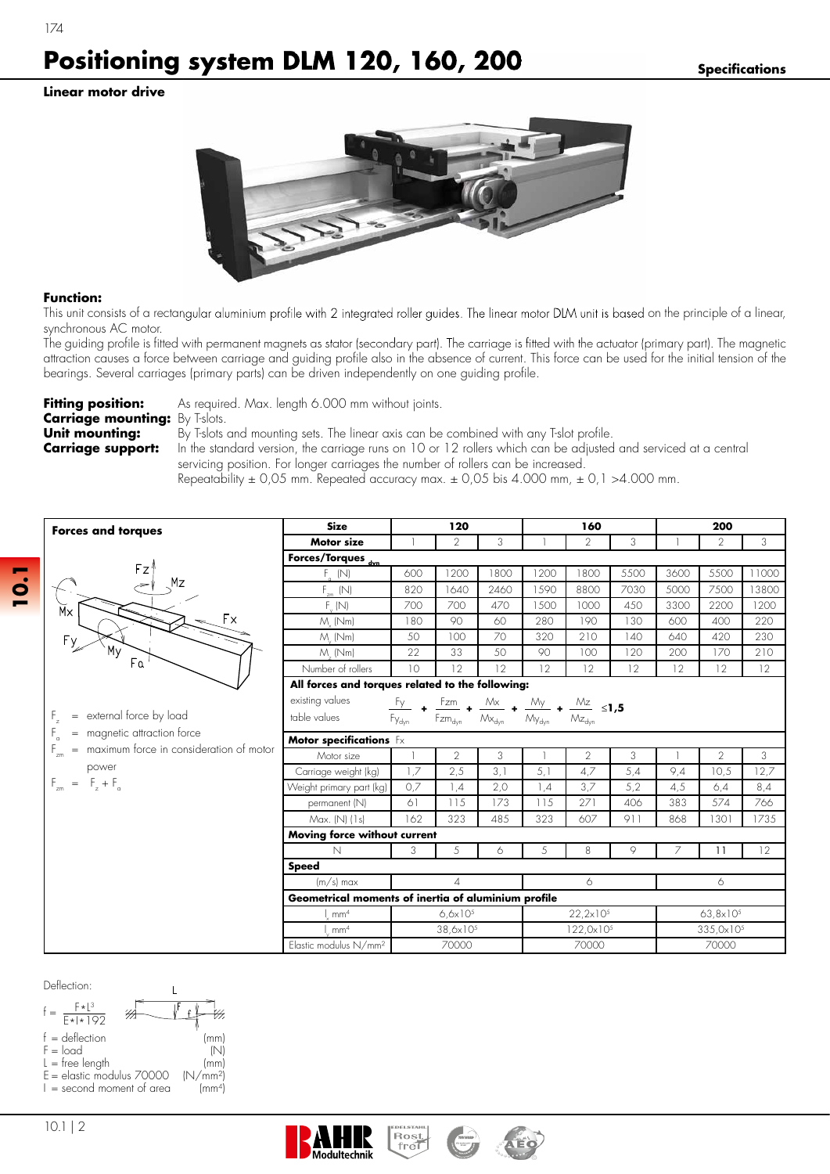**Linear motor drive**

174



## **Function:**

This unit consists of a rectangular aluminium profile with 2 integrated roller guides. The linear motor DLM unit is based on the principle of a linear, synchronous AC motor.

The guiding profile is fitted with permanent magnets as stator (secondary part). The carriage is fitted with the actuator (primary part). The magnetic attraction causes a force between carriage and guiding profile also in the absence of current. This force can be used for the initial tension of the bearings. Several carriages (primary parts) can be driven independently on one guiding profile.

| <b>Fitting position:</b>              | As required. Max. length 6.000 mm without joints.                                                              |
|---------------------------------------|----------------------------------------------------------------------------------------------------------------|
| <b>Carriage mounting:</b> By T-slots. |                                                                                                                |
| Unit mounting:                        | By T-slots and mounting sets. The linear axis can be combined with any T-slot profile.                         |
| <b>Carriage support:</b>              | In the standard version, the carriage runs on 10 or 12 rollers which can be adjusted and serviced at a central |
|                                       | servicing position. For longer carriages the number of rollers can be increased.                               |

Repeatability  $\pm$  0,05 mm. Repeated accuracy max.  $\pm$  0,05 bis 4.000 mm,  $\pm$  0,1 >4.000 mm.

| <b>Forces and torques</b>                                                    | <b>Size</b>                                                                                                                                                                       | 120                  |                |                     |                      | 160            |                       | 200                  |                |       |  |
|------------------------------------------------------------------------------|-----------------------------------------------------------------------------------------------------------------------------------------------------------------------------------|----------------------|----------------|---------------------|----------------------|----------------|-----------------------|----------------------|----------------|-------|--|
|                                                                              | <b>Motor size</b>                                                                                                                                                                 |                      | $\overline{2}$ | 3                   |                      | $\overline{2}$ | 3                     |                      | $\overline{2}$ | 3     |  |
|                                                                              | Forces/Torques <sub>dyn</sub>                                                                                                                                                     |                      |                |                     |                      |                |                       |                      |                |       |  |
| Fz                                                                           | $F_a$ (N)                                                                                                                                                                         | 600                  | 1200           | 1800                | 1200                 | 1800           | 5500                  | 3600                 | 5500           | 11000 |  |
| Mz                                                                           | $F_{\text{cm}}$ (N)                                                                                                                                                               | 820                  | 1640           | 2460                | 1590                 | 8800           | 7030                  | 5000                 | 7500           | 13800 |  |
| Мx                                                                           | $F_{\nu}(N)$                                                                                                                                                                      | 700                  | 700            | 470                 | 1500                 | 1000           | 450                   | 3300                 | 2200           | 1200  |  |
| Fx                                                                           | $M_{.}$ (Nm)                                                                                                                                                                      | 180                  | 90             | 60                  | 280                  | 190            | 130                   | 600                  | 400            | 220   |  |
| F <sub>y</sub>                                                               | $M$ ( $Nm$ )                                                                                                                                                                      | 50                   | 100            | 70                  | 320                  | 210            | 140                   | 640                  | 420            | 230   |  |
| My<br>Fa                                                                     | $M_{.}$ (Nm)                                                                                                                                                                      | 22                   | 33             | 50                  | 90                   | 100            | 120                   | 200                  | 170            | 210   |  |
|                                                                              | Number of rollers                                                                                                                                                                 | 10                   | 12             | 12                  | 12                   | 12             | 12                    | 12                   | 12             | 12    |  |
|                                                                              | All forces and torques related to the following:                                                                                                                                  |                      |                |                     |                      |                |                       |                      |                |       |  |
|                                                                              | existing values                                                                                                                                                                   |                      |                |                     |                      |                |                       |                      |                |       |  |
| external force by load<br>$=$                                                | <b>es relatea ro inc.</b><br>$\frac{Fy}{f}$ + $\frac{Fzm}{f}$ + $\frac{Mx}{Mx}$ + $\frac{My}{Mx_{dyn}}$ + $\frac{Mz}{Mz_{dyn}}$ ≤ <b>1,5</b><br>table values<br>Fy <sub>dyn</sub> |                      |                |                     |                      |                |                       |                      |                |       |  |
| $\mathsf{F}_{\scriptscriptstyle{\mathsf{G}}}$<br>= magnetic attraction force | Motor specifications $Fx$                                                                                                                                                         |                      |                |                     |                      |                |                       |                      |                |       |  |
| = maximum force in consideration of motor                                    | Motor size                                                                                                                                                                        |                      | 2              | 3                   |                      | $\overline{2}$ | 3                     |                      | $\overline{2}$ | 3     |  |
| power                                                                        | Carriage weight (kg)                                                                                                                                                              | 1.7                  | 2,5            | 3,1                 | 5,1                  | 4,7            | 5,4                   | 9,4                  | 10,5           | 12.7  |  |
| $F_{zm} = F_z + F_a$                                                         | Weight primary part (kg)                                                                                                                                                          | 0,7                  | 1,4            | 2,0                 | 1,4                  | 3,7            | 5,2                   | 4,5                  | 6,4            | 8,4   |  |
|                                                                              | permanent (N)                                                                                                                                                                     | 61                   | 115            | 173                 | 115                  | 271            | 406                   | 383                  | 574            | 766   |  |
|                                                                              | Max. (N) (1s)                                                                                                                                                                     | 162                  | 323            | 485                 | 323                  | 607            | 911                   | 868                  | 1301           | 1735  |  |
|                                                                              | Moving force without current                                                                                                                                                      |                      |                |                     |                      |                |                       |                      |                |       |  |
|                                                                              | $\mathbb N$                                                                                                                                                                       | 3                    | 5              | 6                   | 5                    | 8              | 9                     | 7                    | 11             | 12    |  |
|                                                                              | <b>Speed</b>                                                                                                                                                                      |                      |                |                     |                      |                |                       |                      |                |       |  |
|                                                                              | $(m/s)$ max<br>$\overline{4}$                                                                                                                                                     |                      |                |                     | 6                    |                |                       | 6                    |                |       |  |
|                                                                              | Geometrical moments of inertia of aluminium profile                                                                                                                               |                      |                |                     |                      |                |                       |                      |                |       |  |
|                                                                              | mm <sup>4</sup>                                                                                                                                                                   | 6, 6x10 <sup>5</sup> |                |                     | 22,2×10 <sup>5</sup> |                |                       | 63,8x10 <sup>5</sup> |                |       |  |
|                                                                              | mm <sup>4</sup><br>38,6x10 <sup>5</sup>                                                                                                                                           |                      |                | $122,0\times10^{5}$ |                      |                | 335,0x10 <sup>5</sup> |                      |                |       |  |
|                                                                              | Elastic modulus N/mm <sup>2</sup>                                                                                                                                                 | 70000                |                |                     |                      | 70000          |                       | 70000                |                |       |  |

Deflection:







**10.1**